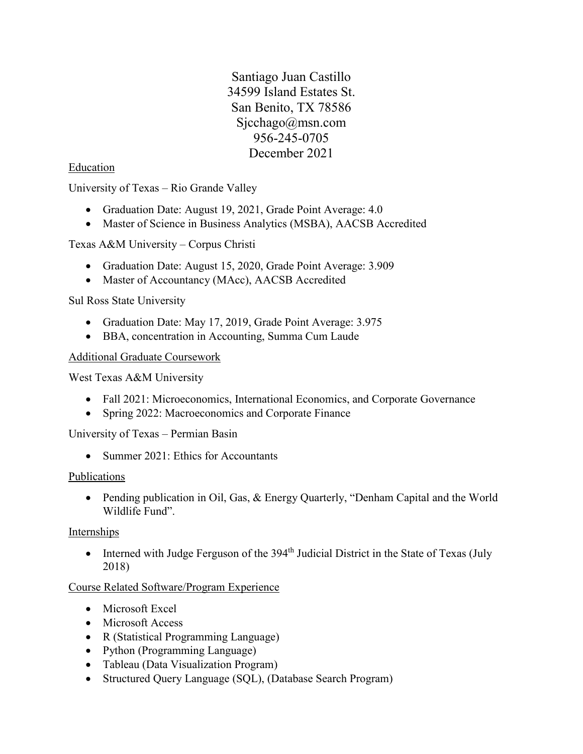Santiago Juan Castillo 34599 Island Estates St. San Benito, TX 78586 [Sjcchago@msn.com](mailto:Sjcchago@msn.com) 956-245-0705 December 2021

### Education

University of Texas – Rio Grande Valley

- Graduation Date: August 19, 2021, Grade Point Average: 4.0
- Master of Science in Business Analytics (MSBA), AACSB Accredited

Texas A&M University – Corpus Christi

- Graduation Date: August 15, 2020, Grade Point Average: 3.909
- Master of Accountancy (MAcc), AACSB Accredited

Sul Ross State University

- Graduation Date: May 17, 2019, Grade Point Average: 3.975
- BBA, concentration in Accounting, Summa Cum Laude

#### Additional Graduate Coursework

West Texas A&M University

- Fall 2021: Microeconomics, International Economics, and Corporate Governance
- Spring 2022: Macroeconomics and Corporate Finance

University of Texas – Permian Basin

• Summer 2021: Ethics for Accountants

#### Publications

• Pending publication in Oil, Gas, & Energy Quarterly, "Denham Capital and the World Wildlife Fund".

#### Internships

• Interned with Judge Ferguson of the 394<sup>th</sup> Judicial District in the State of Texas (July 2018)

### Course Related Software/Program Experience

- Microsoft Excel
- Microsoft Access
- R (Statistical Programming Language)
- Python (Programming Language)
- Tableau (Data Visualization Program)
- Structured Query Language (SQL), (Database Search Program)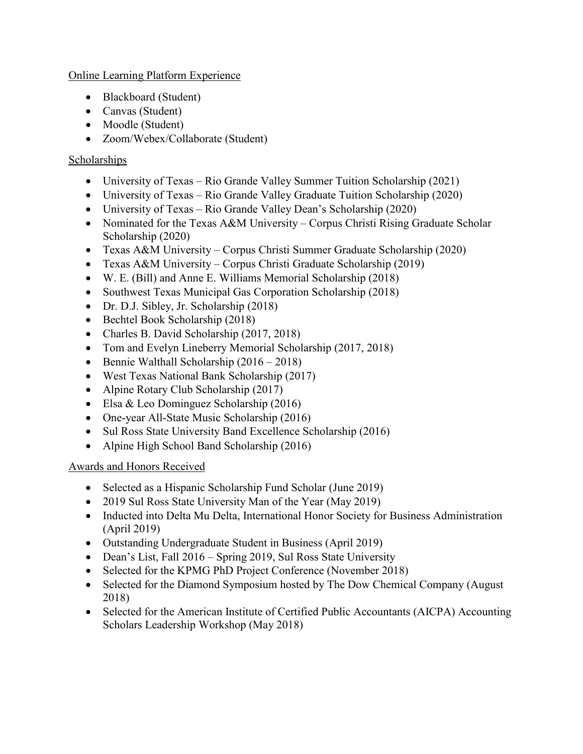Online Learning Platform Experience

- Blackboard (Student)
- Canvas (Student)
- Moodle (Student)
- Zoom/Webex/Collaborate (Student)

### Scholarships

- University of Texas Rio Grande Valley Summer Tuition Scholarship (2021)
- University of Texas Rio Grande Valley Graduate Tuition Scholarship (2020)
- University of Texas Rio Grande Valley Dean's Scholarship (2020)
- Nominated for the Texas A&M University Corpus Christi Rising Graduate Scholar Scholarship (2020)
- Texas A&M University Corpus Christi Summer Graduate Scholarship (2020)
- Texas A&M University Corpus Christi Graduate Scholarship (2019)
- W. E. (Bill) and Anne E. Williams Memorial Scholarship (2018)
- Southwest Texas Municipal Gas Corporation Scholarship (2018)
- Dr. D.J. Sibley, Jr. Scholarship (2018)
- Bechtel Book Scholarship (2018)
- Charles B. David Scholarship (2017, 2018)
- Tom and Evelyn Lineberry Memorial Scholarship (2017, 2018)
- Bennie Walthall Scholarship (2016 2018)
- West Texas National Bank Scholarship (2017)
- Alpine Rotary Club Scholarship (2017)
- Elsa & Leo Dominguez Scholarship (2016)
- One-year All-State Music Scholarship (2016)
- Sul Ross State University Band Excellence Scholarship (2016)
- Alpine High School Band Scholarship (2016)

# Awards and Honors Received

- Selected as a Hispanic Scholarship Fund Scholar (June 2019)
- 2019 Sul Ross State University Man of the Year (May 2019)
- Inducted into Delta Mu Delta, International Honor Society for Business Administration (April 2019)
- Outstanding Undergraduate Student in Business (April 2019)
- Dean's List, Fall 2016 Spring 2019, Sul Ross State University
- Selected for the KPMG PhD Project Conference (November 2018)
- Selected for the Diamond Symposium hosted by The Dow Chemical Company (August 2018)
- Selected for the American Institute of Certified Public Accountants (AICPA) Accounting Scholars Leadership Workshop (May 2018)